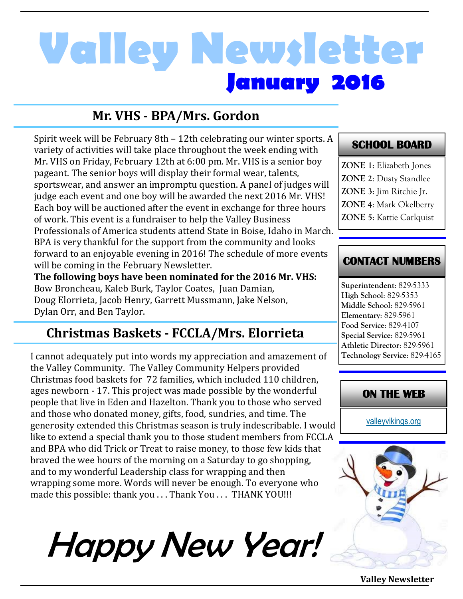## **January 2016 Valley Newsletter**

#### **Mr. VHS - BPA/Mrs. Gordon**

Spirit week will be February 8th – 12th celebrating our winter sports. A variety of activities will take place throughout the week ending with Mr. VHS on Friday, February 12th at 6:00 pm. Mr. VHS is a senior boy pageant. The senior boys will display their formal wear, talents, sportswear, and answer an impromptu question. A panel of judges will judge each event and one boy will be awarded the next 2016 Mr. VHS! Each boy will be auctioned after the event in exchange for three hours of work. This event is a fundraiser to help the Valley Business Professionals of America students attend State in Boise, Idaho in March. BPA is very thankful for the support from the community and looks forward to an enjoyable evening in 2016! The schedule of more events will be coming in the February Newsletter.

**The following boys have been nominated for the 2016 Mr. VHS:**  Bow Broncheau, Kaleb Burk, Taylor Coates, Juan Damian, Doug Elorrieta, Jacob Henry, Garrett Mussmann, Jake Nelson, Dylan Orr, and Ben Taylor.

#### **Christmas Baskets - FCCLA/Mrs. Elorrieta**

I cannot adequately put into words my appreciation and amazement of the Valley Community. The Valley Community Helpers provided Christmas food baskets for 72 families, which included 110 children, ages newborn - 17. This project was made possible by the wonderful people that live in Eden and Hazelton. Thank you to those who served and those who donated money, gifts, food, sundries, and time. The generosity extended this Christmas season is truly indescribable. I would like to extend a special thank you to those student members from FCCLA and BPA who did Trick or Treat to raise money, to those few kids that braved the wee hours of the morning on a Saturday to go shopping, and to my wonderful Leadership class for wrapping and then wrapping some more. Words will never be enough. To everyone who made this possible: thank you . . . Thank You . . . THANK YOU!!!

# Happy New Year!

#### **SCHOOL BOARD**

**ZONE 1**: Elizabeth Jones **ZONE 2**: Dusty Standlee **ZONE 3**: Jim Ritchie Jr. **ZONE 4**: Mark Okelberry **ZONE 5**: Kattie Carlquist

#### **CONTACT NUMBERS**

**Superintendent**: 829-5333 **High School**: 829-5353 **Middle School**: 829-5961 **Elementary**: 829-5961 **Food Service**: 829-4107 **Special Service**: 829-5961 **Athletic Director**: 829-5961 **Technology Service**: 829-4165

#### **ON THE WEB**

[valleyvikings.org](http://www.valleyvikings.org/)



**Valley Newsletter**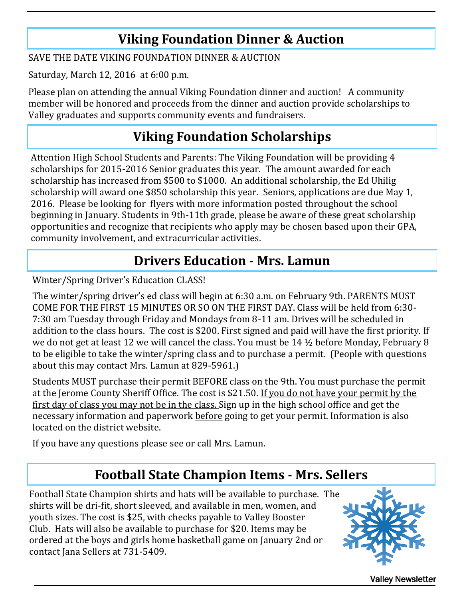### **Viking Foundation Dinner & Auction**

SAVE THE DATE VIKING FOUNDATION DINNER & AUCTION

Saturday, March 12, 2016 at 6:00 p.m.

Please plan on attending the annual Viking Foundation dinner and auction! A community member will be honored and proceeds from the dinner and auction provide scholarships to Valley graduates and supports community events and fundraisers.

## **Viking Foundation Scholarships**

Attention High School Students and Parents: The Viking Foundation will be providing 4 scholarships for 2015-2016 Senior graduates this year. The amount awarded for each scholarship has increased from \$500 to \$1000. An additional scholarship, the Ed Uhilig scholarship will award one \$850 scholarship this year. Seniors, applications are due May 1, 2016. Please be looking for flyers with more information posted throughout the school beginning in January. Students in 9th-11th grade, please be aware of these great scholarship opportunities and recognize that recipients who apply may be chosen based upon their GPA, community involvement, and extracurricular activities.

## **Drivers Education - Mrs. Lamun**

Winter/Spring Driver's Education CLASS!

The winter/spring driver's ed class will begin at 6:30 a.m. on February 9th. PARENTS MUST COME FOR THE FIRST 15 MINUTES OR SO ON THE FIRST DAY. Class will be held from 6:30- 7:30 am Tuesday through Friday and Mondays from 8-11 am. Drives will be scheduled in addition to the class hours. The cost is \$200. First signed and paid will have the first priority. If we do not get at least 12 we will cancel the class. You must be 14 ½ before Monday, February 8 to be eligible to take the winter/spring class and to purchase a permit. (People with questions about this may contact Mrs. Lamun at 829-5961.)

Students MUST purchase their permit BEFORE class on the 9th. You must purchase the permit at the Jerome County Sheriff Office. The cost is \$21.50. If you do not have your permit by the first day of class you may not be in the class. Sign up in the high school office and get the necessary information and paperwork before going to get your permit. Information is also located on the district website.

If you have any questions please see or call Mrs. Lamun.

### **Football State Champion Items - Mrs. Sellers**

Football State Champion shirts and hats will be available to purchase. The shirts will be dri-fit, short sleeved, and available in men, women, and youth sizes. The cost is \$25, with checks payable to Valley Booster Club. Hats will also be available to purchase for \$20. Items may be ordered at the boys and girls home basketball game on January 2nd or contact Jana Sellers at 731-5409.



Valley Newsletter